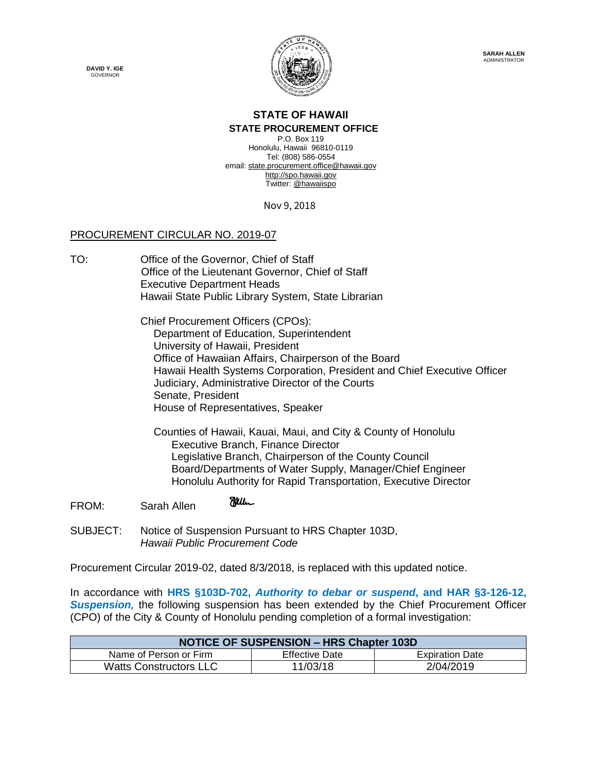**DAVID Y. IGE GOVERNOR** 



## **STATE OF HAWAII**

## **STATE PROCUREMENT OFFICE**

P.O. Box 119 Honolulu, Hawaii 96810-0119 Tel: (808) 586-0554 email[: state.procurement.office@hawaii.gov](mailto:state.procurement.office@hawaii.gov) [http://spo.hawaii.gov](http://spo.hawaii.gov/) Twitter: [@hawaiispo](https://twitter.com/hawaiispo)

Nov 9, 2018

## PROCUREMENT CIRCULAR NO. 2019-07

TO: Office of the Governor, Chief of Staff Office of the Lieutenant Governor, Chief of Staff Executive Department Heads Hawaii State Public Library System, State Librarian

> Chief Procurement Officers (CPOs): Department of Education, Superintendent University of Hawaii, President Office of Hawaiian Affairs, Chairperson of the Board Hawaii Health Systems Corporation, President and Chief Executive Officer Judiciary, Administrative Director of the Courts Senate, President House of Representatives, Speaker

 Counties of Hawaii, Kauai, Maui, and City & County of Honolulu Executive Branch, Finance Director Legislative Branch, Chairperson of the County Council Board/Departments of Water Supply, Manager/Chief Engineer Honolulu Authority for Rapid Transportation, Executive Director

- Miller FROM: Sarah Allen
- SUBJECT: Notice of Suspension Pursuant to HRS Chapter 103D, *Hawaii Public Procurement Code*

Procurement Circular 2019-02, dated 8/3/2018, is replaced with this updated notice.

In accordance with **HRS §103D-702,** *Authority to debar or suspend***, and HAR §3-126-12,**  *Suspension,* the following suspension has been extended by the Chief Procurement Officer (CPO) of the City & County of Honolulu pending completion of a formal investigation:

| <b>NOTICE OF SUSPENSION - HRS Chapter 103D</b> |                       |                        |
|------------------------------------------------|-----------------------|------------------------|
| Name of Person or Firm                         | <b>Effective Date</b> | <b>Expiration Date</b> |
| <b>Watts Constructors LLC</b>                  | 11/03/18              | 2/04/2019              |